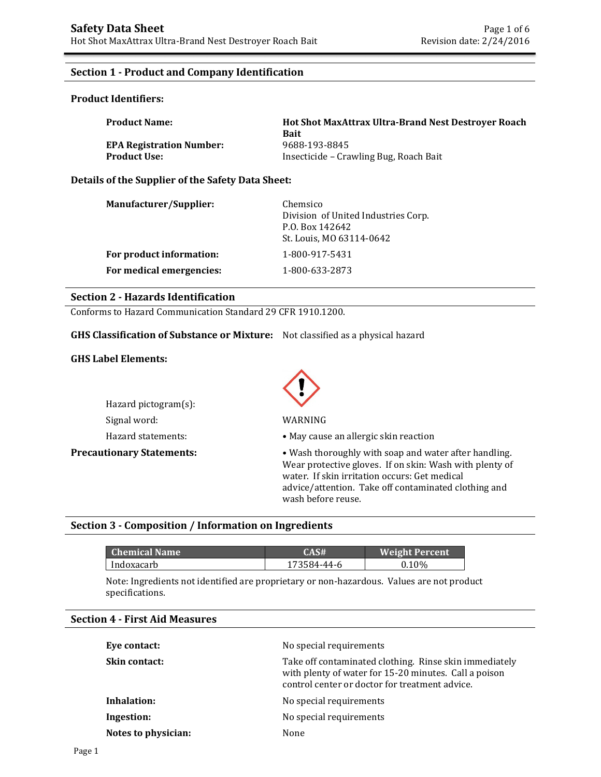### **Section 1 - Product and Company Identification**

#### **Product Identifiers:**

| <b>Product Name:</b>            | <b>Hot Shot MaxAttrax Ultra-Brand Nest Destrover Roach</b><br><b>Bait</b> |
|---------------------------------|---------------------------------------------------------------------------|
| <b>EPA Registration Number:</b> | 9688-193-8845                                                             |
| <b>Product Use:</b>             | Insecticide – Crawling Bug, Roach Bait                                    |

#### **Details of the Supplier of the Safety Data Sheet:**

| Manufacturer/Supplier:   | Chemsico<br>Division of United Industries Corp.<br>P.O. Box 142642<br>St. Louis, MO 63114-0642 |
|--------------------------|------------------------------------------------------------------------------------------------|
| For product information: | 1-800-917-5431                                                                                 |
| For medical emergencies: | 1-800-633-2873                                                                                 |

#### **Section 2 - Hazards Identification**

Conforms to Hazard Communication Standard 29 CFR 1910.1200.

#### **GHS Classification of Substance or Mixture:** Not classified as a physical hazard

#### **GHS Label Elements:**

| $Hazard$ pictogram $(s)$ : |  |  |
|----------------------------|--|--|
| Signal word:               |  |  |
| Hazard statements:         |  |  |



#### WARNING

• May cause an allergic skin reaction

**Precautionary Statements:** • Wash thoroughly with soap and water after handling. Wear protective gloves. If on skin: Wash with plenty of water. If skin irritation occurs: Get medical advice/attention. Take off contaminated clothing and wash before reuse.

### **Section 3 - Composition / Information on Ingredients**

| <b>Chemical Name</b> | CAS#        | <b>Weight Percent</b> |
|----------------------|-------------|-----------------------|
| Indoxacarb           | 173584-44-6 | 0.10%                 |

Note: Ingredients not identified are proprietary or non-hazardous. Values are not product specifications.

#### **Section 4 - First Aid Measures**

| Eye contact:        | No special requirements                                                                                                                                           |
|---------------------|-------------------------------------------------------------------------------------------------------------------------------------------------------------------|
| Skin contact:       | Take off contaminated clothing. Rinse skin immediately<br>with plenty of water for 15-20 minutes. Call a poison<br>control center or doctor for treatment advice. |
| Inhalation:         | No special requirements                                                                                                                                           |
| Ingestion:          | No special requirements                                                                                                                                           |
| Notes to physician: | None                                                                                                                                                              |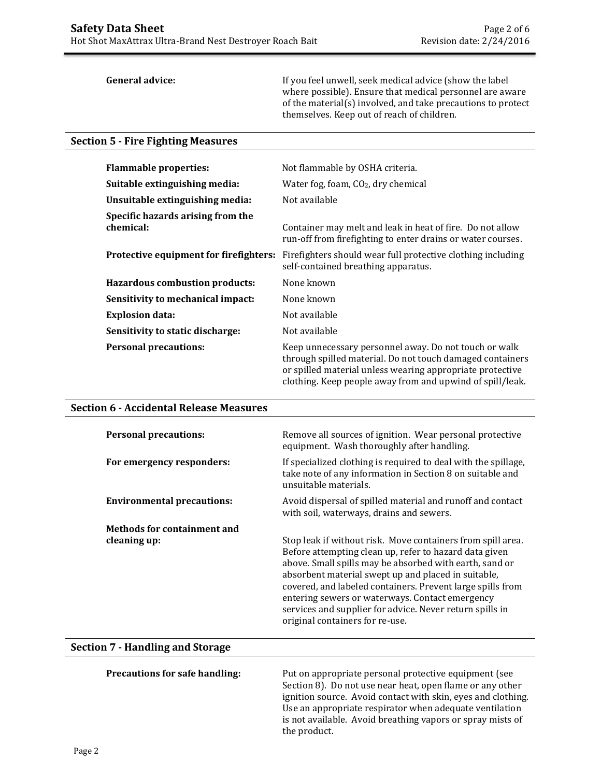**General advice:** If you feel unwell, seek medical advice (show the label where possible). Ensure that medical personnel are aware of the material(s) involved, and take precautions to protect themselves. Keep out of reach of children.

#### **Section 5 - Fire Fighting Measures**

| <b>Flammable properties:</b>                   | Not flammable by OSHA criteria.                                                                                                                                                                                                              |
|------------------------------------------------|----------------------------------------------------------------------------------------------------------------------------------------------------------------------------------------------------------------------------------------------|
| Suitable extinguishing media:                  | Water fog, foam, $CO2$ , dry chemical                                                                                                                                                                                                        |
| Unsuitable extinguishing media:                | Not available                                                                                                                                                                                                                                |
| Specific hazards arising from the<br>chemical: | Container may melt and leak in heat of fire. Do not allow<br>run-off from firefighting to enter drains or water courses.                                                                                                                     |
| Protective equipment for firefighters:         | Firefighters should wear full protective clothing including<br>self-contained breathing apparatus.                                                                                                                                           |
| Hazardous combustion products:                 | None known                                                                                                                                                                                                                                   |
| Sensitivity to mechanical impact:              | None known                                                                                                                                                                                                                                   |
| <b>Explosion data:</b>                         | Not available                                                                                                                                                                                                                                |
| Sensitivity to static discharge:               | Not available                                                                                                                                                                                                                                |
| <b>Personal precautions:</b>                   | Keep unnecessary personnel away. Do not touch or walk<br>through spilled material. Do not touch damaged containers<br>or spilled material unless wearing appropriate protective<br>clothing. Keep people away from and upwind of spill/leak. |

#### **Section 6 - Accidental Release Measures**

| <b>Personal precautions:</b>       | Remove all sources of ignition. Wear personal protective<br>equipment. Wash thoroughly after handling.                                                                                                                                                                                                                                                                                                                                                  |
|------------------------------------|---------------------------------------------------------------------------------------------------------------------------------------------------------------------------------------------------------------------------------------------------------------------------------------------------------------------------------------------------------------------------------------------------------------------------------------------------------|
| For emergency responders:          | If specialized clothing is required to deal with the spillage,<br>take note of any information in Section 8 on suitable and<br>unsuitable materials.                                                                                                                                                                                                                                                                                                    |
| <b>Environmental precautions:</b>  | Avoid dispersal of spilled material and runoff and contact<br>with soil, waterways, drains and sewers.                                                                                                                                                                                                                                                                                                                                                  |
| <b>Methods for containment and</b> |                                                                                                                                                                                                                                                                                                                                                                                                                                                         |
| cleaning up:                       | Stop leak if without risk. Move containers from spill area.<br>Before attempting clean up, refer to hazard data given<br>above. Small spills may be absorbed with earth, sand or<br>absorbent material swept up and placed in suitable,<br>covered, and labeled containers. Prevent large spills from<br>entering sewers or waterways. Contact emergency<br>services and supplier for advice. Never return spills in<br>original containers for re-use. |

## **Section 7 - Handling and Storage**

**Precautions for safe handling:** Put on appropriate personal protective equipment (see Section 8). Do not use near heat, open flame or any other ignition source. Avoid contact with skin, eyes and clothing. Use an appropriate respirator when adequate ventilation is not available. Avoid breathing vapors or spray mists of the product.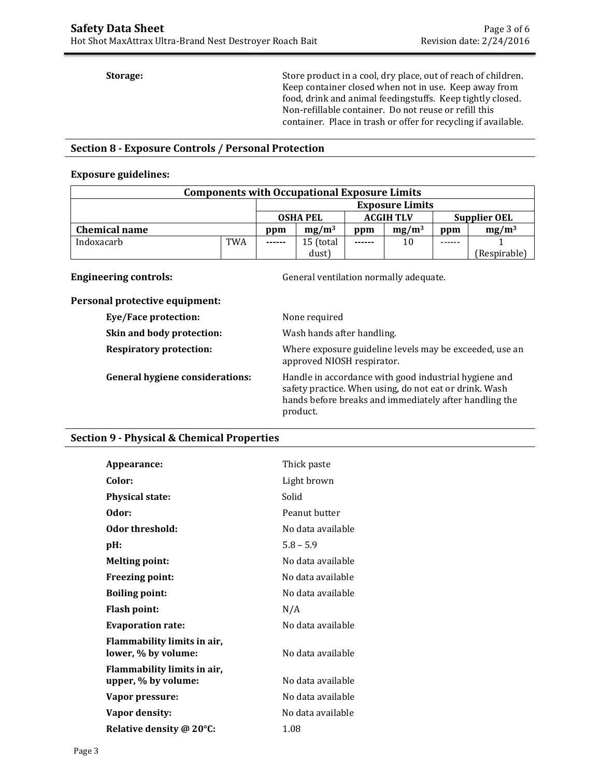**Storage:** Store product in a cool, dry place, out of reach of children. Keep container closed when not in use. Keep away from food, drink and animal feedingstuffs. Keep tightly closed. Non-refillable container. Do not reuse or refill this container. Place in trash or offer for recycling if available.

### **Section 8 - Exposure Controls / Personal Protection**

#### **Exposure guidelines:**

| <b>Components with Occupational Exposure Limits</b> |            |                        |                  |               |                     |     |              |
|-----------------------------------------------------|------------|------------------------|------------------|---------------|---------------------|-----|--------------|
|                                                     |            | <b>Exposure Limits</b> |                  |               |                     |     |              |
| <b>OSHA PEL</b>                                     |            |                        | <b>ACGIH TLV</b> |               | <b>Supplier OEL</b> |     |              |
| <b>Chemical name</b>                                |            | ppm                    | $mg/m^3$         | ppm           | $mg/m^3$            | ppm | $mg/m^3$     |
| Indoxacarb                                          | <b>TWA</b> | ------                 | 15 (total        | $- - - - - -$ | 10                  |     |              |
|                                                     |            |                        | dust)            |               |                     |     | (Respirable) |

**Engineering controls: Controls: General ventilation normally adequate.** 

#### **Personal protective equipment:**

| Eye/Face protection:                   | None required                                                                                                                                                                         |
|----------------------------------------|---------------------------------------------------------------------------------------------------------------------------------------------------------------------------------------|
| Skin and body protection:              | Wash hands after handling.                                                                                                                                                            |
| <b>Respiratory protection:</b>         | Where exposure guideline levels may be exceeded, use an<br>approved NIOSH respirator.                                                                                                 |
| <b>General hygiene considerations:</b> | Handle in accordance with good industrial hygiene and<br>safety practice. When using, do not eat or drink. Wash<br>hands before breaks and immediately after handling the<br>product. |

### **Section 9 - Physical & Chemical Properties**

| Appearance:                                        | Thick paste       |
|----------------------------------------------------|-------------------|
| Color:                                             | Light brown       |
| <b>Physical state:</b>                             | Solid             |
| Odor:                                              | Peanut butter     |
| Odor threshold:                                    | No data available |
| pH:                                                | $5.8 - 5.9$       |
| <b>Melting point:</b>                              | No data available |
| <b>Freezing point:</b>                             | No data available |
| <b>Boiling point:</b>                              | No data available |
| <b>Flash point:</b>                                | N/A               |
| <b>Evaporation rate:</b>                           | No data available |
| Flammability limits in air,<br>lower, % by volume: | No data available |
| Flammability limits in air,<br>upper, % by volume: | No data available |
| Vapor pressure:                                    | No data available |
| Vapor density:                                     | No data available |
| Relative density @ 20°C:                           | 1.08              |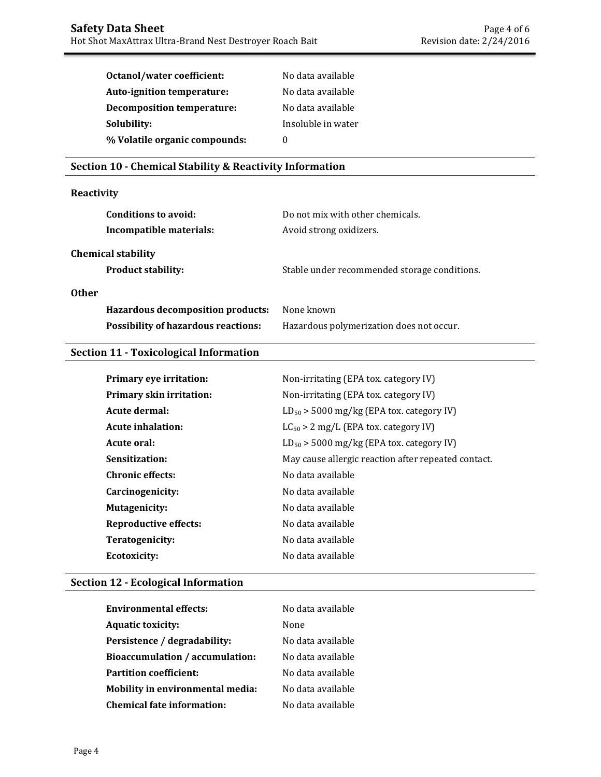| Octanol/water coefficient:        | No data available  |
|-----------------------------------|--------------------|
| Auto-ignition temperature:        | No data available  |
| <b>Decomposition temperature:</b> | No data available  |
| Solubility:                       | Insoluble in water |
| % Volatile organic compounds:     | $\mathbf{0}$       |

## **Section 10 - Chemical Stability & Reactivity Information**

## **Reactivity**

| Conditions to avoid:                                   | Do not mix with other chemicals.             |
|--------------------------------------------------------|----------------------------------------------|
| Incompatible materials:                                | Avoid strong oxidizers.                      |
| <b>Chemical stability</b><br><b>Product stability:</b> | Stable under recommended storage conditions. |
| <b>Other</b>                                           |                                              |
| Hazardous decomposition products:                      | None known                                   |
| <b>Possibility of hazardous reactions:</b>             | Hazardous polymerization does not occur.     |

## **Section 11 - Toxicological Information**

| Primary eye irritation:         | Non-irritating (EPA tox. category IV)               |
|---------------------------------|-----------------------------------------------------|
| <b>Primary skin irritation:</b> | Non-irritating (EPA tox. category IV)               |
| Acute dermal:                   | $LD_{50}$ > 5000 mg/kg (EPA tox. category IV)       |
| Acute inhalation:               | $LC_{50} > 2$ mg/L (EPA tox. category IV)           |
| Acute oral:                     | $LD_{50}$ > 5000 mg/kg (EPA tox. category IV)       |
| Sensitization:                  | May cause allergic reaction after repeated contact. |
| <b>Chronic effects:</b>         | No data available                                   |
| Carcinogenicity:                | No data available                                   |
| <b>Mutagenicity:</b>            | No data available                                   |
| <b>Reproductive effects:</b>    | No data available                                   |
| Teratogenicity:                 | No data available                                   |
| Ecotoxicity:                    | No data available                                   |
|                                 |                                                     |

## **Section 12 - Ecological Information**

| <b>Environmental effects:</b>           | No data available |  |
|-----------------------------------------|-------------------|--|
| <b>Aquatic toxicity:</b>                | None              |  |
| Persistence / degradability:            | No data available |  |
| <b>Bioaccumulation / accumulation:</b>  | No data available |  |
| <b>Partition coefficient:</b>           | No data available |  |
| <b>Mobility in environmental media:</b> | No data available |  |
| <b>Chemical fate information:</b>       | No data available |  |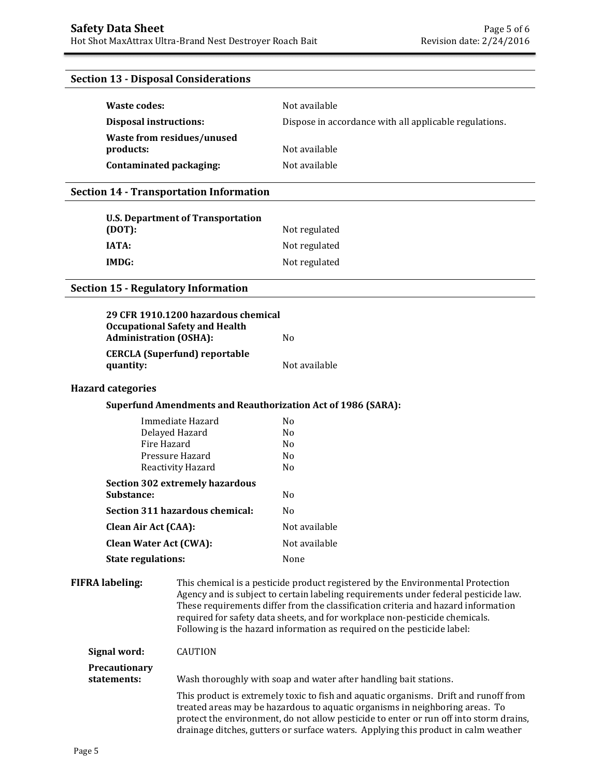### **Section 13 - Disposal Considerations**

| Waste codes:                  | Not available                                          |  |
|-------------------------------|--------------------------------------------------------|--|
| <b>Disposal instructions:</b> | Dispose in accordance with all applicable regulations. |  |
| Waste from residues/unused    |                                                        |  |
| products:                     | Not available                                          |  |
| Contaminated packaging:       | Not available                                          |  |

#### **Section 14 - Transportation Information**

| <b>U.S. Department of Transportation</b> |               |
|------------------------------------------|---------------|
| (DOT):                                   | Not regulated |
| <b>IATA:</b>                             | Not regulated |
| IMDG:                                    | Not regulated |

#### **Section 15 - Regulatory Information**

| <b>Occupational Safety and Health</b>             | 29 CFR 1910.1200 hazardous chemical |  |  |  |
|---------------------------------------------------|-------------------------------------|--|--|--|
| <b>Administration (OSHA):</b>                     | No.                                 |  |  |  |
| <b>CERCLA</b> (Superfund) reportable<br>quantity: | Not available                       |  |  |  |

#### **Hazard categories**

## **Superfund Amendments and Reauthorization Act of 1986 (SARA):**

| Immediate Hazard                       | Nο             |
|----------------------------------------|----------------|
| Delayed Hazard                         | N <sub>0</sub> |
| Fire Hazard                            | No             |
| Pressure Hazard                        | N٥             |
| Reactivity Hazard                      | N <sub>0</sub> |
| <b>Section 302 extremely hazardous</b> |                |
| Substance:                             | No             |
| Section 311 hazardous chemical:        | Nο             |
| <b>Clean Air Act (CAA):</b>            | Not available  |
| <b>Clean Water Act (CWA):</b>          | Not available  |
| <b>State regulations:</b>              | None           |

**FIFRA labeling:** This chemical is a pesticide product registered by the Environmental Protection Agency and is subject to certain labeling requirements under federal pesticide law. These requirements differ from the classification criteria and hazard information required for safety data sheets, and for workplace non-pesticide chemicals. Following is the hazard information as required on the pesticide label:

| Signal word:                        | <b>CAUTION</b>                                                                                                                                                                                                                                                                                                                                       |
|-------------------------------------|------------------------------------------------------------------------------------------------------------------------------------------------------------------------------------------------------------------------------------------------------------------------------------------------------------------------------------------------------|
| <b>Precautionary</b><br>statements: | Wash thoroughly with soap and water after handling bait stations.                                                                                                                                                                                                                                                                                    |
|                                     | This product is extremely toxic to fish and aquatic organisms. Drift and runoff from<br>treated areas may be hazardous to aquatic organisms in neighboring areas. To<br>protect the environment, do not allow pesticide to enter or run off into storm drains,<br>drainage ditches, gutters or surface waters. Applying this product in calm weather |